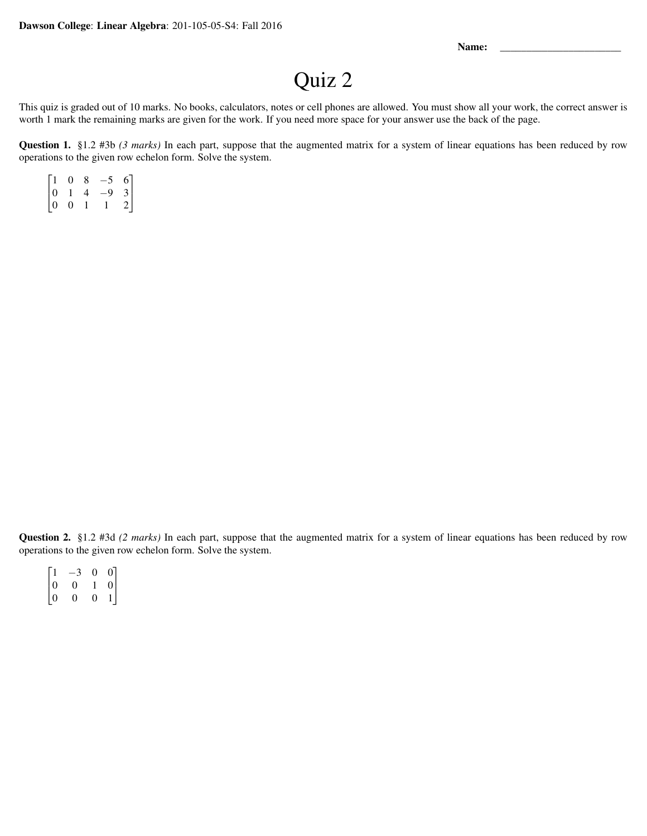Name:

## Quiz 2

This quiz is graded out of 10 marks. No books, calculators, notes or cell phones are allowed. You must show all your work, the correct answer is worth 1 mark the remaining marks are given for the work. If you need more space for your answer use the back of the page.

Question 1. §1.2 #3b *(3 marks)* In each part, suppose that the augmented matrix for a system of linear equations has been reduced by row operations to the given row echelon form. Solve the system.

|                                             | $\overline{0}$ | 8 | $-5$ | $\begin{bmatrix} 6 \\ 3 \end{bmatrix}$ |
|---------------------------------------------|----------------|---|------|----------------------------------------|
|                                             | $\mathbf{1}$   | 4 | $-9$ |                                        |
| $\begin{bmatrix} 1 \\ 0 \\ 0 \end{bmatrix}$ | $\overline{0}$ |   |      | $\overline{2}$                         |

Question 2. §1.2 #3d *(2 marks)* In each part, suppose that the augmented matrix for a system of linear equations has been reduced by row operations to the given row echelon form. Solve the system.

|                                           | $-3$ | 0              |                                             |
|-------------------------------------------|------|----------------|---------------------------------------------|
|                                           | 0    |                | $\begin{bmatrix} 0 \\ 0 \\ 1 \end{bmatrix}$ |
| $\begin{bmatrix} 1 \ 0 \ 0 \end{bmatrix}$ | 0    | $\overline{0}$ |                                             |